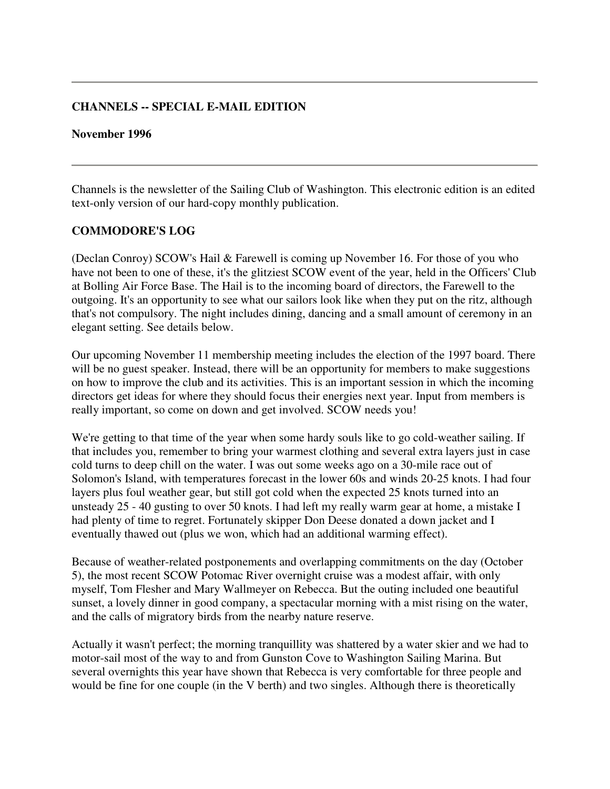### **CHANNELS -- SPECIAL E-MAIL EDITION**

#### **November 1996**

Channels is the newsletter of the Sailing Club of Washington. This electronic edition is an edited text-only version of our hard-copy monthly publication.

#### **COMMODORE'S LOG**

(Declan Conroy) SCOW's Hail & Farewell is coming up November 16. For those of you who have not been to one of these, it's the glitziest SCOW event of the year, held in the Officers' Club at Bolling Air Force Base. The Hail is to the incoming board of directors, the Farewell to the outgoing. It's an opportunity to see what our sailors look like when they put on the ritz, although that's not compulsory. The night includes dining, dancing and a small amount of ceremony in an elegant setting. See details below.

Our upcoming November 11 membership meeting includes the election of the 1997 board. There will be no guest speaker. Instead, there will be an opportunity for members to make suggestions on how to improve the club and its activities. This is an important session in which the incoming directors get ideas for where they should focus their energies next year. Input from members is really important, so come on down and get involved. SCOW needs you!

We're getting to that time of the year when some hardy souls like to go cold-weather sailing. If that includes you, remember to bring your warmest clothing and several extra layers just in case cold turns to deep chill on the water. I was out some weeks ago on a 30-mile race out of Solomon's Island, with temperatures forecast in the lower 60s and winds 20-25 knots. I had four layers plus foul weather gear, but still got cold when the expected 25 knots turned into an unsteady 25 - 40 gusting to over 50 knots. I had left my really warm gear at home, a mistake I had plenty of time to regret. Fortunately skipper Don Deese donated a down jacket and I eventually thawed out (plus we won, which had an additional warming effect).

Because of weather-related postponements and overlapping commitments on the day (October 5), the most recent SCOW Potomac River overnight cruise was a modest affair, with only myself, Tom Flesher and Mary Wallmeyer on Rebecca. But the outing included one beautiful sunset, a lovely dinner in good company, a spectacular morning with a mist rising on the water, and the calls of migratory birds from the nearby nature reserve.

Actually it wasn't perfect; the morning tranquillity was shattered by a water skier and we had to motor-sail most of the way to and from Gunston Cove to Washington Sailing Marina. But several overnights this year have shown that Rebecca is very comfortable for three people and would be fine for one couple (in the V berth) and two singles. Although there is theoretically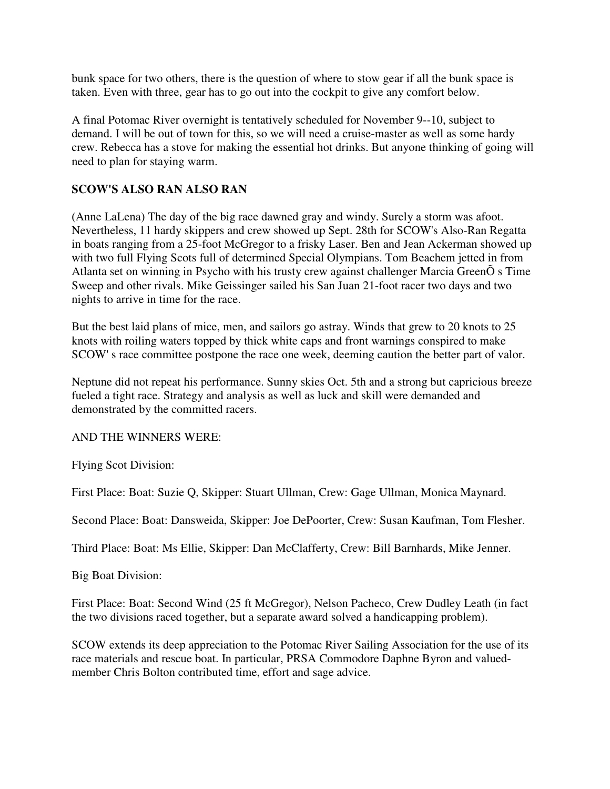bunk space for two others, there is the question of where to stow gear if all the bunk space is taken. Even with three, gear has to go out into the cockpit to give any comfort below.

A final Potomac River overnight is tentatively scheduled for November 9--10, subject to demand. I will be out of town for this, so we will need a cruise-master as well as some hardy crew. Rebecca has a stove for making the essential hot drinks. But anyone thinking of going will need to plan for staying warm.

### **SCOW'S ALSO RAN ALSO RAN**

(Anne LaLena) The day of the big race dawned gray and windy. Surely a storm was afoot. Nevertheless, 11 hardy skippers and crew showed up Sept. 28th for SCOW's Also-Ran Regatta in boats ranging from a 25-foot McGregor to a frisky Laser. Ben and Jean Ackerman showed up with two full Flying Scots full of determined Special Olympians. Tom Beachem jetted in from Atlanta set on winning in Psycho with his trusty crew against challenger Marcia GreenÕ s Time Sweep and other rivals. Mike Geissinger sailed his San Juan 21-foot racer two days and two nights to arrive in time for the race.

But the best laid plans of mice, men, and sailors go astray. Winds that grew to 20 knots to 25 knots with roiling waters topped by thick white caps and front warnings conspired to make SCOW' s race committee postpone the race one week, deeming caution the better part of valor.

Neptune did not repeat his performance. Sunny skies Oct. 5th and a strong but capricious breeze fueled a tight race. Strategy and analysis as well as luck and skill were demanded and demonstrated by the committed racers.

#### AND THE WINNERS WERE:

Flying Scot Division:

First Place: Boat: Suzie Q, Skipper: Stuart Ullman, Crew: Gage Ullman, Monica Maynard.

Second Place: Boat: Dansweida, Skipper: Joe DePoorter, Crew: Susan Kaufman, Tom Flesher.

Third Place: Boat: Ms Ellie, Skipper: Dan McClafferty, Crew: Bill Barnhards, Mike Jenner.

Big Boat Division:

First Place: Boat: Second Wind (25 ft McGregor), Nelson Pacheco, Crew Dudley Leath (in fact the two divisions raced together, but a separate award solved a handicapping problem).

SCOW extends its deep appreciation to the Potomac River Sailing Association for the use of its race materials and rescue boat. In particular, PRSA Commodore Daphne Byron and valuedmember Chris Bolton contributed time, effort and sage advice.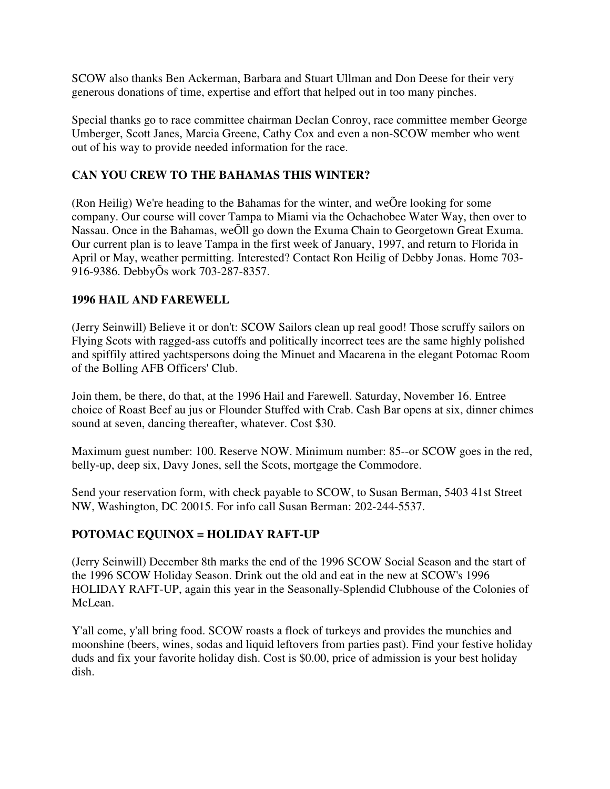SCOW also thanks Ben Ackerman, Barbara and Stuart Ullman and Don Deese for their very generous donations of time, expertise and effort that helped out in too many pinches.

Special thanks go to race committee chairman Declan Conroy, race committee member George Umberger, Scott Janes, Marcia Greene, Cathy Cox and even a non-SCOW member who went out of his way to provide needed information for the race.

# **CAN YOU CREW TO THE BAHAMAS THIS WINTER?**

(Ron Heilig) We're heading to the Bahamas for the winter, and weÕre looking for some company. Our course will cover Tampa to Miami via the Ochachobee Water Way, then over to Nassau. Once in the Bahamas, weÕll go down the Exuma Chain to Georgetown Great Exuma. Our current plan is to leave Tampa in the first week of January, 1997, and return to Florida in April or May, weather permitting. Interested? Contact Ron Heilig of Debby Jonas. Home 703- 916-9386. DebbyÕs work 703-287-8357.

### **1996 HAIL AND FAREWELL**

(Jerry Seinwill) Believe it or don't: SCOW Sailors clean up real good! Those scruffy sailors on Flying Scots with ragged-ass cutoffs and politically incorrect tees are the same highly polished and spiffily attired yachtspersons doing the Minuet and Macarena in the elegant Potomac Room of the Bolling AFB Officers' Club.

Join them, be there, do that, at the 1996 Hail and Farewell. Saturday, November 16. Entree choice of Roast Beef au jus or Flounder Stuffed with Crab. Cash Bar opens at six, dinner chimes sound at seven, dancing thereafter, whatever. Cost \$30.

Maximum guest number: 100. Reserve NOW. Minimum number: 85--or SCOW goes in the red, belly-up, deep six, Davy Jones, sell the Scots, mortgage the Commodore.

Send your reservation form, with check payable to SCOW, to Susan Berman, 5403 41st Street NW, Washington, DC 20015. For info call Susan Berman: 202-244-5537.

### **POTOMAC EQUINOX = HOLIDAY RAFT-UP**

(Jerry Seinwill) December 8th marks the end of the 1996 SCOW Social Season and the start of the 1996 SCOW Holiday Season. Drink out the old and eat in the new at SCOW's 1996 HOLIDAY RAFT-UP, again this year in the Seasonally-Splendid Clubhouse of the Colonies of McLean.

Y'all come, y'all bring food. SCOW roasts a flock of turkeys and provides the munchies and moonshine (beers, wines, sodas and liquid leftovers from parties past). Find your festive holiday duds and fix your favorite holiday dish. Cost is \$0.00, price of admission is your best holiday dish.